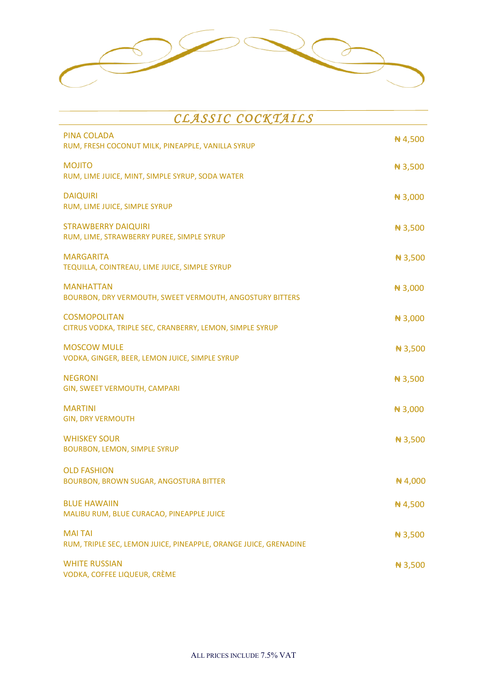

| CLASSIC COCKTAILS                                                                  |           |  |
|------------------------------------------------------------------------------------|-----------|--|
| <b>PINA COLADA</b><br>RUM, FRESH COCONUT MILK, PINEAPPLE, VANILLA SYRUP            | #4,500    |  |
| <b>MOJITO</b><br>RUM, LIME JUICE, MINT, SIMPLE SYRUP, SODA WATER                   | $\#3,500$ |  |
| <b>DAIQUIRI</b><br>RUM, LIME JUICE, SIMPLE SYRUP                                   | ₦ 3,000   |  |
| <b>STRAWBERRY DAIQUIRI</b><br>RUM, LIME, STRAWBERRY PUREE, SIMPLE SYRUP            | $\#3,500$ |  |
| <b>MARGARITA</b><br>TEQUILLA, COINTREAU, LIME JUICE, SIMPLE SYRUP                  | $\#3,500$ |  |
| <b>MANHATTAN</b><br>BOURBON, DRY VERMOUTH, SWEET VERMOUTH, ANGOSTURY BITTERS       | $\#3,000$ |  |
| <b>COSMOPOLITAN</b><br>CITRUS VODKA, TRIPLE SEC, CRANBERRY, LEMON, SIMPLE SYRUP    | #3,000    |  |
| <b>MOSCOW MULE</b><br>VODKA, GINGER, BEER, LEMON JUICE, SIMPLE SYRUP               | $\#3,500$ |  |
| <b>NEGRONI</b><br>GIN, SWEET VERMOUTH, CAMPARI                                     | $\#3,500$ |  |
| <b>MARTINI</b><br><b>GIN, DRY VERMOUTH</b>                                         | $\#3,000$ |  |
| <b>WHISKEY SOUR</b><br><b>BOURBON, LEMON, SIMPLE SYRUP</b>                         | $\#3,500$ |  |
| <b>OLD FASHION</b><br>BOURBON, BROWN SUGAR, ANGOSTURA BITTER                       | #4,000    |  |
| <b>BLUE HAWAIIN</b><br>MALIBU RUM, BLUE CURACAO, PINEAPPLE JUICE                   | #4,500    |  |
| <b>MAI TAI</b><br>RUM, TRIPLE SEC, LEMON JUICE, PINEAPPLE, ORANGE JUICE, GRENADINE | $\#3,500$ |  |
| <b>WHITE RUSSIAN</b><br>VODKA, COFFEE LIQUEUR, CRÈME                               | #3,500    |  |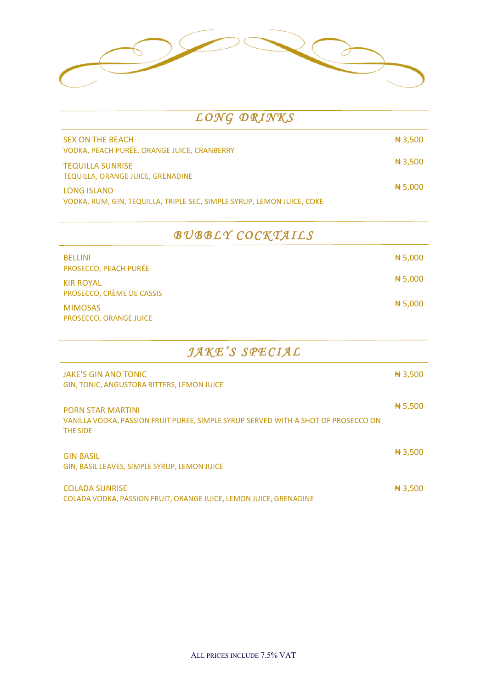| LONG DRINKS                                                                           |           |
|---------------------------------------------------------------------------------------|-----------|
| <b>SEX ON THE BEACH</b><br>VODKA, PEACH PURÉE, ORANGE JUICE, CRANBERRY                | $\#3,500$ |
| <b>TEQUILLA SUNRISE</b><br>TEQUILLA, ORANGE JUICE, GRENADINE                          | $\#3,500$ |
| LONG ISLAND<br>VODKA, RUM, GIN, TEQUILLA, TRIPLE SEC, SIMPLE SYRUP, LEMON JUICE, COKE | # 5,000   |

|  | BUBBLY COCKTAILS |
|--|------------------|
|--|------------------|

| <b>BELLINI</b><br>PROSECCO, PEACH PURÉE       | N 5,000 |
|-----------------------------------------------|---------|
| <b>KIR ROYAL</b><br>PROSECCO, CRÈME DE CASSIS | N 5,000 |
| <b>MIMOSAS</b><br>PROSECCO, ORANGE JUICE      | # 5,000 |

| JAKE'S SPECIAL                                                                                                             |           |  |
|----------------------------------------------------------------------------------------------------------------------------|-----------|--|
| <b>JAKE'S GIN AND TONIC</b><br><b>GIN, TONIC, ANGUSTORA BITTERS, LEMON JUICE</b>                                           | $\#3,500$ |  |
| <b>PORN STAR MARTINI</b><br>VANILLA VODKA, PASSION FRUIT PUREE, SIMPLE SYRUP SERVED WITH A SHOT OF PROSECCO ON<br>THE SIDE | # 5,500   |  |
| <b>GIN BASIL</b><br>GIN, BASIL LEAVES, SIMPLE SYRUP, LEMON JUICE                                                           | $\#3,500$ |  |
| <b>COLADA SUNRISE</b><br>COLADA VODKA, PASSION FRUIT, ORANGE JUICE, LEMON JUICE, GRENADINE                                 | $\#3,500$ |  |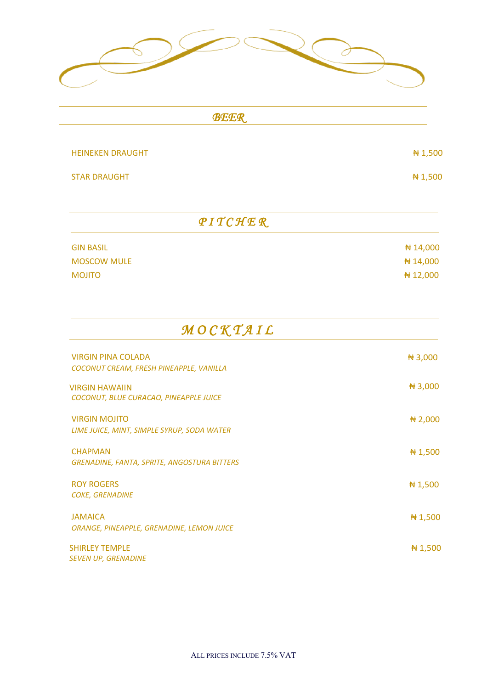| <b>BEER</b>             |          |
|-------------------------|----------|
| <b>HEINEKEN DRAUGHT</b> | ₦ 1,500  |
| <b>STAR DRAUGHT</b>     | ₦ 1,500  |
| <b>PITCHER</b>          |          |
| <b>GIN BASIL</b>        | ₦ 14,000 |
| <b>MOSCOW MULE</b>      | ₦ 14,000 |

MOJITO  $\blacklozenge$   $\blacklozenge$  12,000

| MOCKTAIL                                                             |            |
|----------------------------------------------------------------------|------------|
| <b>VIRGIN PINA COLADA</b>                                            | $\#3,000$  |
| COCONUT CREAM, FRESH PINEAPPLE, VANILLA                              |            |
| <b>VIRGIN HAWAIIN</b><br>COCONUT, BLUE CURACAO, PINEAPPLE JUICE      | #3,000     |
| <b>VIRGIN MOJITO</b><br>LIME JUICE, MINT, SIMPLE SYRUP, SODA WATER   | $\# 2,000$ |
| <b>CHAPMAN</b><br><b>GRENADINE, FANTA, SPRITE, ANGOSTURA BITTERS</b> | # 1,500    |
| <b>ROY ROGERS</b><br><b>COKE, GRENADINE</b>                          | # 1,500    |
| <b>JAMAICA</b><br>ORANGE, PINEAPPLE, GRENADINE, LEMON JUICE          | # 1,500    |
| <b>SHIRLEY TEMPLE</b><br><b>SEVEN UP, GRENADINE</b>                  | # 1,500    |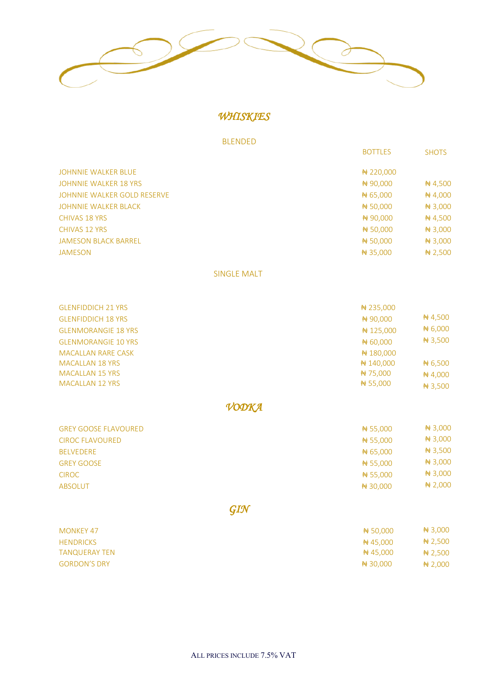

*WHISKIES* 

BLENDED

|                              | <b>BOTTLES</b> | <b>SHOTS</b> |
|------------------------------|----------------|--------------|
| <b>JOHNNIE WALKER BLUE</b>   | # 220,000      |              |
| <b>JOHNNIE WALKER 18 YRS</b> | #90,000        | #4,500       |
| JOHNNIE WALKER GOLD RESERVE  | #65,000        | $\#$ 4,000   |
| <b>JOHNNIE WALKER BLACK</b>  | #50,000        | $\#3,000$    |
| <b>CHIVAS 18 YRS</b>         | #90,000        | #4,500       |
| <b>CHIVAS 12 YRS</b>         | #50,000        | $\#3,000$    |
| <b>JAMESON BLACK BARREL</b>  | #50,000        | $\#3,000$    |
| <b>JAMESON</b>               | $\#35,000$     | # 2,500      |
|                              |                |              |

#### SINGLE MALT

| <b>GLENFIDDICH 21 YRS</b>  | # 235,000 |           |
|----------------------------|-----------|-----------|
| <b>GLENFIDDICH 18 YRS</b>  | # 90,000  | #4,500    |
| <b>GLENMORANGIE 18 YRS</b> | #125,000  | #6,000    |
| <b>GLENMORANGIE 10 YRS</b> | #60,000   | $\#3,500$ |
| <b>MACALLAN RARE CASK</b>  | #180,000  |           |
| <b>MACALLAN 18 YRS</b>     | #140,000  | # 6,500   |
| <b>MACALLAN 15 YRS</b>     | ₦ 75,000  | ₦ 4,000   |
| <b>MACALLAN 12 YRS</b>     | #55,000   | $\#3,500$ |

*VODKA* 

| <b>GREY GOOSE FLAVOURED</b> | #55,000  | # 3,000   |
|-----------------------------|----------|-----------|
| <b>CIROC FLAVOURED</b>      | #55,000  | $\#3,000$ |
| <b>BELVEDERE</b>            | #65,000  | # 3,500   |
| <b>GREY GOOSE</b>           | # 55,000 | # 3,000   |
| <b>CIROC</b>                | #55,000  | $\#3,000$ |
| <b>ABSOLUT</b>              | # 30,000 | # 2,000   |

*GIN* 

| MONKEY 47           | <del>N</del> 50.000 | <del>N</del> 3,000 |
|---------------------|---------------------|--------------------|
| <b>HENDRICKS</b>    | <del>N</del> 45.000 | <del>N</del> 2,500 |
| TANQUERAY TEN       | #45.000             |                    |
| <b>GORDON'S DRY</b> | # 30,000            | N 2,000            |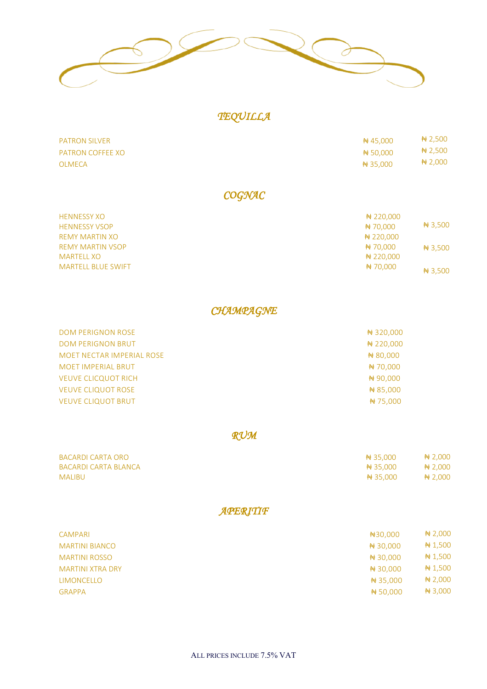

# *TEQUILLA*

| <b>PATRON SILVER</b> | <del>2</del> 45,000 | $\# 2,500$ |
|----------------------|---------------------|------------|
| PATRON COFFEE XO     | # 50.000            | $\# 2,500$ |
| OLMECA               | Nt 35,000           | $\# 2,000$ |

### *COGNAC*

| <b>HENNESSY XO</b>        | # 220,000                      |  |
|---------------------------|--------------------------------|--|
| <b>HENNESSY VSOP</b>      | # 3,500<br>#70,000             |  |
| <b>REMY MARTIN XO</b>     | # 220,000                      |  |
| <b>REMY MARTIN VSOP</b>   | Nt 70,000<br># 3,500           |  |
| <b>MARTELL XO</b>         | # 220,000                      |  |
| <b>MARTELL BLUE SWIFT</b> | <del>N</del> 70,000<br># 3,500 |  |

### *CHAMPAGNE*

| <b>DOM PERIGNON ROSE</b>   | # 320,000 |
|----------------------------|-----------|
| <b>DOM PERIGNON BRUT</b>   | # 220,000 |
| MOET NECTAR IMPERIAL ROSE  | #80,000   |
| <b>MOET IMPERIAL BRUT</b>  | #70,000   |
| <b>VEUVE CLICQUOT RICH</b> | #90,000   |
| <b>VEUVE CLIQUOT ROSE</b>  | #85,000   |
| <b>VEUVE CLIQUOT BRUT</b>  | #75,000   |

## *RUM*

| BACARDI CARTA ORO    | # 35.000 | $\# 2,000$ |
|----------------------|----------|------------|
| BACARDI CARTA BLANCA | # 35.000 | Note 3.000 |
| <b>MALIBU</b>        | # 35.000 | $\# 2.000$ |

### *APERITIF*

| CAMPARI                 | #30,000    | <b>#2,000</b> |
|-------------------------|------------|---------------|
| <b>MARTINI BIANCO</b>   | # 30,000   | # 1,500       |
| <b>MARTINI ROSSO</b>    | # 30,000   | # 1,500       |
| <b>MARTINI XTRA DRY</b> | # 30,000   | # 1,500       |
| <b>LIMONCELLO</b>       | $\#35,000$ | <b>#2,000</b> |
| <b>GRAPPA</b>           | #50,000    | # 3,000       |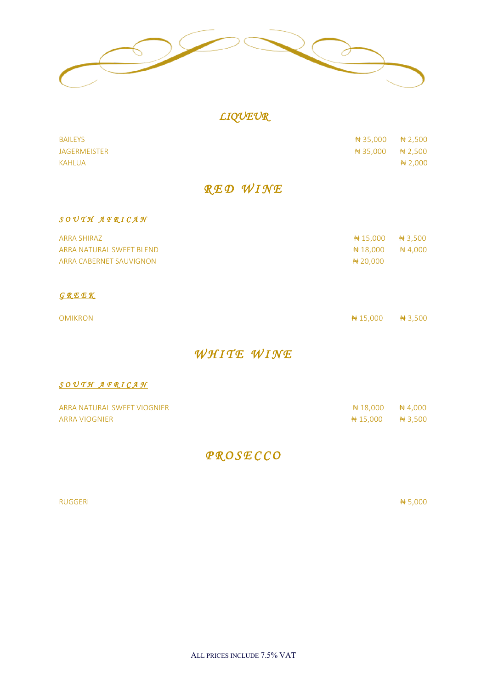

## *LIQUEUR*

| <b>JAGERMEISTER</b><br><del>N</del> 35,000<br>KAHLUA       |            |
|------------------------------------------------------------|------------|
|                                                            | $\# 2,000$ |
|                                                            | Nt 2,500   |
| <b>BAILEYS</b><br>$\frac{1}{2}$ 35,000 $\frac{1}{2}$ 2,500 |            |

#### *S O U T H A F R I C A N*

| ARRA SHIRAZ              | $\frac{1}{2}$ + 15.000 + + 3.500 |  |
|--------------------------|----------------------------------|--|
| ARRA NATURAL SWEET BLEND | $\frac{1}{2}$ + 18.000 + 4.000   |  |
| ARRA CABERNET SAUVIGNON  |                                  |  |
|                          |                                  |  |

#### *G R E E K*

| OMIKRON | <del>N</del> t 15,000 + 3,500 |  |
|---------|-------------------------------|--|
|         |                               |  |

## *WHITE WINE*

#### *S O U T H A F R I C A N*

| ARRA NATURAL SWEET VIOGNIER | $\#$ 18,000 $\#$ 4,000       |  |
|-----------------------------|------------------------------|--|
| ARRA VIOGNIER               | <del>Nt</del> 15.000 + 3.500 |  |

# *P R O S E C C O*

#### RUGGERI ₦ 5,000